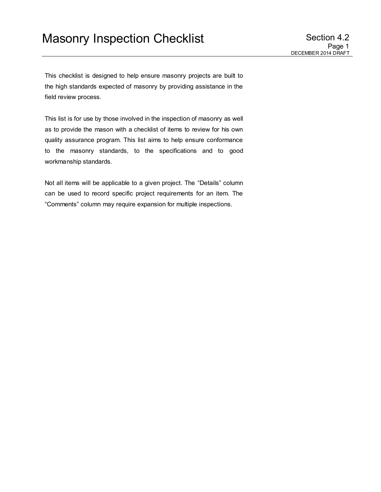This checklist is designed to help ensure masonry projects are built to the high standards expected of masonry by providing assistance in the field review process.

This list is for use by those involved in the inspection of masonry as well as to provide the mason with a checklist of items to review for his own quality assurance program. This list aims to help ensure conformance to the masonry standards, to the specifications and to good workmanship standards.

Not all items will be applicable to a given project. The "Details" column can be used to record specific project requirements for an item. The "Comments" column may require expansion for multiple inspections.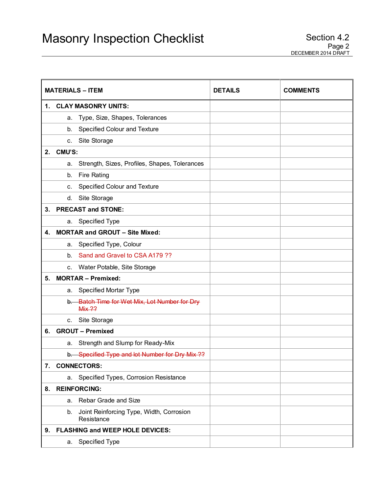| <b>MATERIALS - ITEM</b> |                                                              | <b>DETAILS</b> | <b>COMMENTS</b> |  |
|-------------------------|--------------------------------------------------------------|----------------|-----------------|--|
| 1.                      | <b>CLAY MASONRY UNITS:</b>                                   |                |                 |  |
|                         | Type, Size, Shapes, Tolerances<br>a.                         |                |                 |  |
|                         | Specified Colour and Texture<br>b.                           |                |                 |  |
|                         | Site Storage<br>C.                                           |                |                 |  |
| 2.                      | CMU'S:                                                       |                |                 |  |
|                         | Strength, Sizes, Profiles, Shapes, Tolerances<br>a.          |                |                 |  |
|                         | <b>Fire Rating</b><br>b.                                     |                |                 |  |
|                         | Specified Colour and Texture<br>c.                           |                |                 |  |
|                         | Site Storage<br>d.                                           |                |                 |  |
| 3.                      | <b>PRECAST and STONE:</b>                                    |                |                 |  |
|                         | Specified Type<br>а.                                         |                |                 |  |
| 4.                      | <b>MORTAR and GROUT - Site Mixed:</b>                        |                |                 |  |
|                         | Specified Type, Colour<br>а.                                 |                |                 |  |
|                         | Sand and Gravel to CSA A179 ??<br>b.                         |                |                 |  |
|                         | c. Water Potable, Site Storage                               |                |                 |  |
| 5.                      | <b>MORTAR - Premixed:</b>                                    |                |                 |  |
|                         | Specified Mortar Type<br>a.                                  |                |                 |  |
|                         | b. Batch Time for Wet Mix, Lot Number for Dry<br>Mix ??      |                |                 |  |
|                         | Site Storage<br>c.                                           |                |                 |  |
| 6.                      | <b>GROUT - Premixed</b>                                      |                |                 |  |
|                         | Strength and Slump for Ready-Mix<br>а.                       |                |                 |  |
|                         | b. Specified Type and lot Number for Dry Mix ??              |                |                 |  |
| 7.                      | <b>CONNECTORS:</b>                                           |                |                 |  |
|                         | Specified Types, Corrosion Resistance<br>a.                  |                |                 |  |
| 8.                      | <b>REINFORCING:</b>                                          |                |                 |  |
|                         | Rebar Grade and Size<br>a.                                   |                |                 |  |
|                         | Joint Reinforcing Type, Width, Corrosion<br>b.<br>Resistance |                |                 |  |
| 9.                      | <b>FLASHING and WEEP HOLE DEVICES:</b>                       |                |                 |  |
|                         | Specified Type<br>a.                                         |                |                 |  |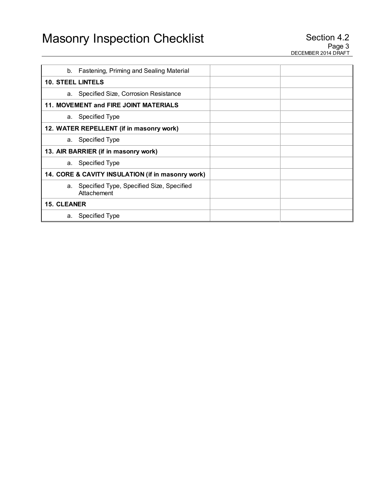|                          | b. Fastening, Priming and Sealing Material                  |  |  |  |
|--------------------------|-------------------------------------------------------------|--|--|--|
| <b>10. STEEL LINTELS</b> |                                                             |  |  |  |
|                          | a. Specified Size, Corrosion Resistance                     |  |  |  |
|                          | 11. MOVEMENT and FIRE JOINT MATERIALS                       |  |  |  |
|                          | a. Specified Type                                           |  |  |  |
|                          | 12. WATER REPELLENT (if in masonry work)                    |  |  |  |
| а.                       | Specified Type                                              |  |  |  |
|                          | 13. AIR BARRIER (if in masonry work)                        |  |  |  |
|                          | a. Specified Type                                           |  |  |  |
|                          | 14. CORE & CAVITY INSULATION (if in masonry work)           |  |  |  |
|                          | a. Specified Type, Specified Size, Specified<br>Attachement |  |  |  |
| <b>15. CLEANER</b>       |                                                             |  |  |  |
| а.                       | <b>Specified Type</b>                                       |  |  |  |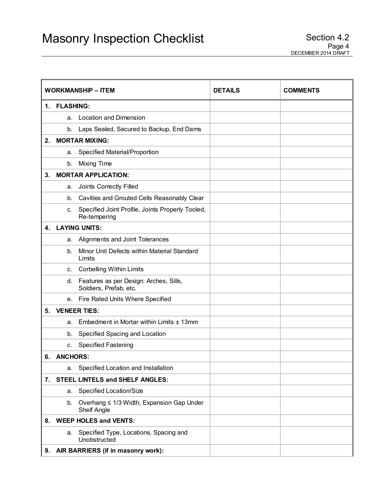|    | <b>WORKMANSHIP - ITEM</b> |                                                                  | <b>DETAILS</b> | <b>COMMENTS</b> |
|----|---------------------------|------------------------------------------------------------------|----------------|-----------------|
| 1. | <b>FLASHING:</b>          |                                                                  |                |                 |
|    | a.                        | <b>Location and Dimension</b>                                    |                |                 |
|    |                           | b. Laps Sealed, Secured to Backup, End Dams                      |                |                 |
| 2. |                           | <b>MORTAR MIXING:</b>                                            |                |                 |
|    | а.                        | Specified Material/Proportion                                    |                |                 |
|    | b.                        | Mixing Time                                                      |                |                 |
| 3. |                           | <b>MORTAR APPLICATION:</b>                                       |                |                 |
|    | a.                        | Joints Correctly Filled                                          |                |                 |
|    | b.                        | Cavities and Grouted Cells Reasonably Clear                      |                |                 |
|    | C.                        | Specified Joint Profile, Joints Properly Tooled,<br>Re-tempering |                |                 |
| 4. |                           | <b>LAYING UNITS:</b>                                             |                |                 |
|    | а.                        | Alignments and Joint Tolerances                                  |                |                 |
|    | b.                        | Minor Unit Defects within Material Standard<br>Limits            |                |                 |
|    | C.                        | <b>Corbelling Within Limits</b>                                  |                |                 |
|    | d.                        | Features as per Design: Arches, Sills,<br>Soldiers, Prefab, etc. |                |                 |
|    |                           | e. Fire Rated Units Where Specified                              |                |                 |
| 5. |                           | <b>VENEER TIES:</b>                                              |                |                 |
|    | a.                        | Embedment in Mortar within Limits ± 13mm                         |                |                 |
|    | b.                        | Specified Spacing and Location                                   |                |                 |
|    | c.                        | <b>Specified Fastening</b>                                       |                |                 |
| 6. | <b>ANCHORS:</b>           |                                                                  |                |                 |
|    | а.                        | Specified Location and Installation                              |                |                 |
|    |                           | 7. STEEL LINTELS and SHELF ANGLES:                               |                |                 |
|    | a.                        | Specified Location/Size                                          |                |                 |
|    | b.                        | Overhang ≤ 1/3 Width, Expansion Gap Under<br>Shelf Angle         |                |                 |
| 8. |                           | <b>WEEP HOLES and VENTS:</b>                                     |                |                 |
|    | а.                        | Specified Type, Locations, Spacing and<br>Unobstructed           |                |                 |
| 9. |                           | AIR BARRIERS (if in masonry work):                               |                |                 |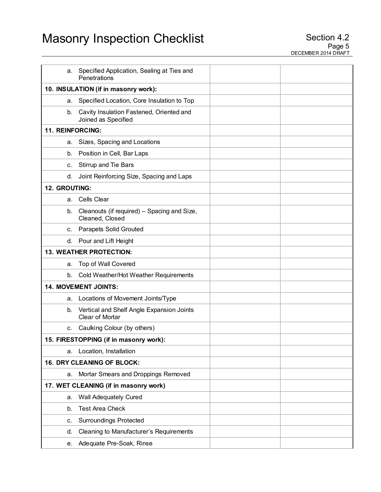| а.               | Specified Application, Sealing at Ties and<br>Penetrations          |  |  |  |
|------------------|---------------------------------------------------------------------|--|--|--|
|                  | 10. INSULATION (if in masonry work):                                |  |  |  |
| а.               | Specified Location, Core Insulation to Top                          |  |  |  |
| b.               | Cavity Insulation Fastened, Oriented and<br>Joined as Specified     |  |  |  |
| 11. REINFORCING: |                                                                     |  |  |  |
| а.               | Sizes, Spacing and Locations                                        |  |  |  |
| b.               | Position in Cell, Bar Laps                                          |  |  |  |
| c.               | <b>Stirrup and Tie Bars</b>                                         |  |  |  |
| d.               | Joint Reinforcing Size, Spacing and Laps                            |  |  |  |
| 12. GROUTING:    |                                                                     |  |  |  |
| a.               | <b>Cells Clear</b>                                                  |  |  |  |
| b.               | Cleanouts (if required) – Spacing and Size,<br>Cleaned, Closed      |  |  |  |
| C.               | <b>Parapets Solid Grouted</b>                                       |  |  |  |
| d.               | Pour and Lift Height                                                |  |  |  |
|                  | <b>13. WEATHER PROTECTION:</b>                                      |  |  |  |
| a.               | Top of Wall Covered                                                 |  |  |  |
| b.               | Cold Weather/Hot Weather Requirements                               |  |  |  |
|                  | 14. MOVEMENT JOINTS:                                                |  |  |  |
| а.               | Locations of Movement Joints/Type                                   |  |  |  |
| b.               | Vertical and Shelf Angle Expansion Joints<br><b>Clear of Mortar</b> |  |  |  |
|                  | c. Caulking Colour (by others)                                      |  |  |  |
|                  | 15. FIRESTOPPING (if in masonry work):                              |  |  |  |
| а.               | Location, Installation                                              |  |  |  |
|                  | <b>16. DRY CLEANING OF BLOCK:</b>                                   |  |  |  |
| а.               | Mortar Smears and Droppings Removed                                 |  |  |  |
|                  | 17. WET CLEANING (if in masonry work)                               |  |  |  |
| a.               | <b>Wall Adequately Cured</b>                                        |  |  |  |
| b.               | <b>Test Area Check</b>                                              |  |  |  |
| С.               | <b>Surroundings Protected</b>                                       |  |  |  |
| d.               | Cleaning to Manufacturer's Requirements                             |  |  |  |
|                  | e. Adequate Pre-Soak, Rinse                                         |  |  |  |